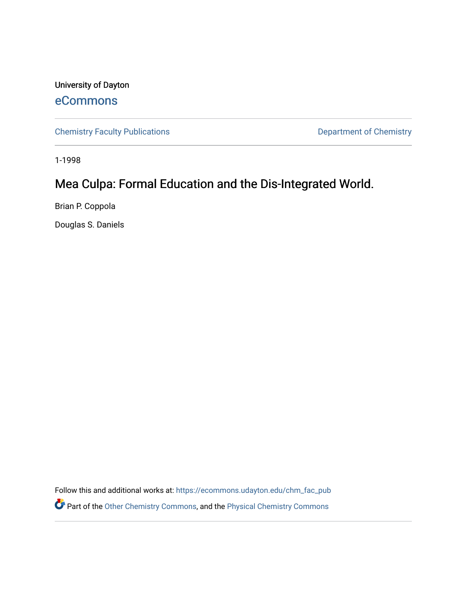University of Dayton [eCommons](https://ecommons.udayton.edu/)

[Chemistry Faculty Publications](https://ecommons.udayton.edu/chm_fac_pub) **Department of Chemistry** 

1-1998

# Mea Culpa: Formal Education and the Dis-Integrated World.

Brian P. Coppola

Douglas S. Daniels

Follow this and additional works at: [https://ecommons.udayton.edu/chm\\_fac\\_pub](https://ecommons.udayton.edu/chm_fac_pub?utm_source=ecommons.udayton.edu%2Fchm_fac_pub%2F108&utm_medium=PDF&utm_campaign=PDFCoverPages) Part of the [Other Chemistry Commons,](http://network.bepress.com/hgg/discipline/141?utm_source=ecommons.udayton.edu%2Fchm_fac_pub%2F108&utm_medium=PDF&utm_campaign=PDFCoverPages) and the [Physical Chemistry Commons](http://network.bepress.com/hgg/discipline/139?utm_source=ecommons.udayton.edu%2Fchm_fac_pub%2F108&utm_medium=PDF&utm_campaign=PDFCoverPages)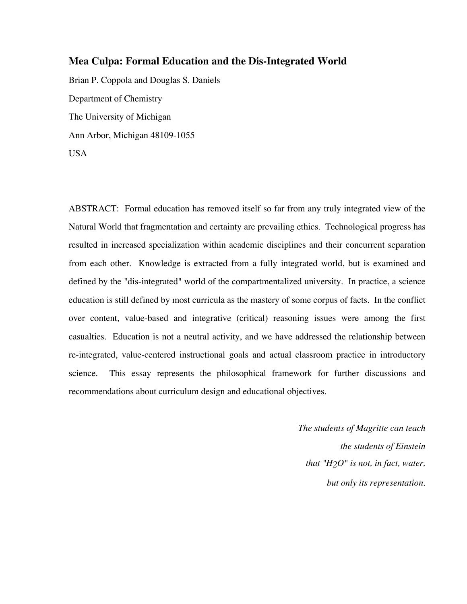## **Mea Culpa: Formal Education and the Dis-Integrated World**

Brian P. Coppola and Douglas S. Daniels Department of Chemistry The University of Michigan Ann Arbor, Michigan 48109-1055 USA

ABSTRACT: Formal education has removed itself so far from any truly integrated view of the Natural World that fragmentation and certainty are prevailing ethics. Technological progress has resulted in increased specialization within academic disciplines and their concurrent separation from each other. Knowledge is extracted from a fully integrated world, but is examined and defined by the "dis-integrated" world of the compartmentalized university. In practice, a science education is still defined by most curricula as the mastery of some corpus of facts. In the conflict over content, value-based and integrative (critical) reasoning issues were among the first casualties. Education is not a neutral activity, and we have addressed the relationship between re-integrated, value-centered instructional goals and actual classroom practice in introductory science. This essay represents the philosophical framework for further discussions and recommendations about curriculum design and educational objectives.

> *The students of Magritte can teach the students of Einstein that "H2O" is not, in fact, water, but only its representation.*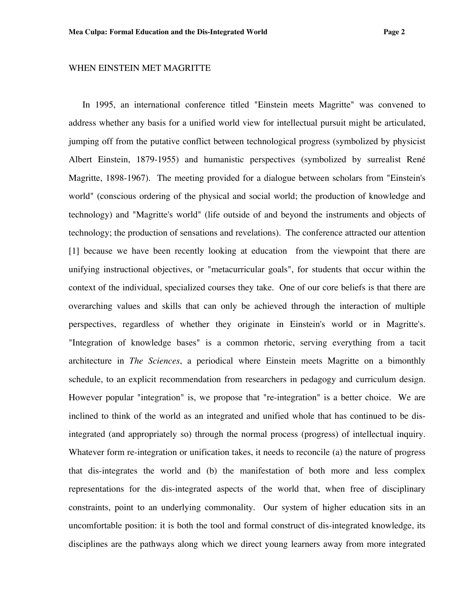#### WHEN EINSTEIN MET MAGRITTE

In 1995, an international conference titled "Einstein meets Magritte" was convened to address whether any basis for a unified world view for intellectual pursuit might be articulated, jumping off from the putative conflict between technological progress (symbolized by physicist Albert Einstein, 1879-1955) and humanistic perspectives (symbolized by surrealist René Magritte, 1898-1967). The meeting provided for a dialogue between scholars from "Einstein's world" (conscious ordering of the physical and social world; the production of knowledge and technology) and "Magritte's world" (life outside of and beyond the instruments and objects of technology; the production of sensations and revelations). The conference attracted our attention [1] because we have been recently looking at education from the viewpoint that there are unifying instructional objectives, or "metacurricular goals", for students that occur within the context of the individual, specialized courses they take. One of our core beliefs is that there are overarching values and skills that can only be achieved through the interaction of multiple perspectives, regardless of whether they originate in Einstein's world or in Magritte's. "Integration of knowledge bases" is a common rhetoric, serving everything from a tacit architecture in *The Sciences*, a periodical where Einstein meets Magritte on a bimonthly schedule, to an explicit recommendation from researchers in pedagogy and curriculum design. However popular "integration" is, we propose that "re-integration" is a better choice. We are inclined to think of the world as an integrated and unified whole that has continued to be disintegrated (and appropriately so) through the normal process (progress) of intellectual inquiry. Whatever form re-integration or unification takes, it needs to reconcile (a) the nature of progress that dis-integrates the world and (b) the manifestation of both more and less complex representations for the dis-integrated aspects of the world that, when free of disciplinary constraints, point to an underlying commonality. Our system of higher education sits in an uncomfortable position: it is both the tool and formal construct of dis-integrated knowledge, its disciplines are the pathways along which we direct young learners away from more integrated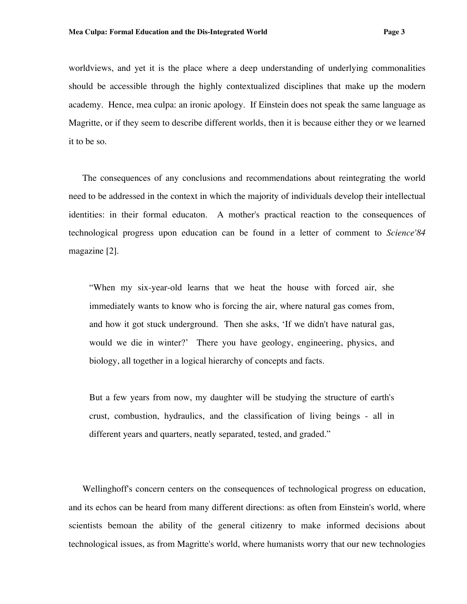worldviews, and yet it is the place where a deep understanding of underlying commonalities should be accessible through the highly contextualized disciplines that make up the modern academy. Hence, mea culpa: an ironic apology.If Einstein does not speak the same language as Magritte, or if they seem to describe different worlds, then it is because either they or we learned it to be so.

The consequences of any conclusions and recommendations about reintegrating the world need to be addressed in the context in which the majority of individuals develop their intellectual identities: in their formal educaton. A mother's practical reaction to the consequences of technological progress upon education can be found in a letter of comment to *Science'84* magazine [2].

"When my six-year-old learns that we heat the house with forced air, she immediately wants to know who is forcing the air, where natural gas comes from, and how it got stuck underground. Then she asks, 'If we didn't have natural gas, would we die in winter?' There you have geology, engineering, physics, and biology, all together in a logical hierarchy of concepts and facts.

But a few years from now, my daughter will be studying the structure of earth's crust, combustion, hydraulics, and the classification of living beings - all in different years and quarters, neatly separated, tested, and graded."

Wellinghoff's concern centers on the consequences of technological progress on education, and its echos can be heard from many different directions: as often from Einstein's world, where scientists bemoan the ability of the general citizenry to make informed decisions about technological issues, as from Magritte's world, where humanists worry that our new technologies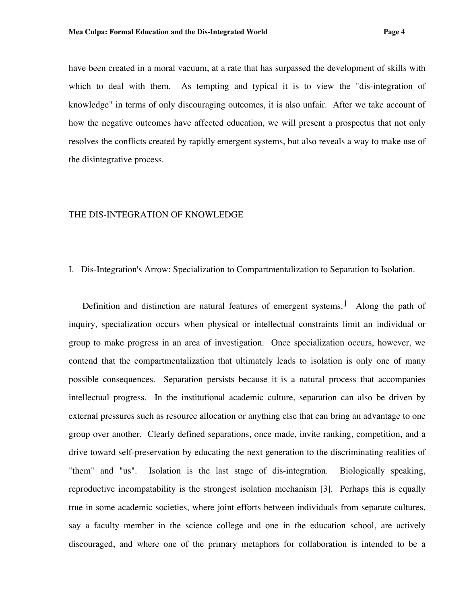have been created in a moral vacuum, at a rate that has surpassed the development of skills with which to deal with them. As tempting and typical it is to view the "dis-integration of knowledge" in terms of only discouraging outcomes, it is also unfair. After we take account of how the negative outcomes have affected education, we will present a prospectus that not only resolves the conflicts created by rapidly emergent systems, but also reveals a way to make use of the disintegrative process.

## THE DIS-INTEGRATION OF KNOWLEDGE

#### I. Dis-Integration's Arrow: Specialization to Compartmentalization to Separation to Isolation.

Definition and distinction are natural features of emergent systems.<sup>1</sup> Along the path of inquiry, specialization occurs when physical or intellectual constraints limit an individual or group to make progress in an area of investigation. Once specialization occurs, however, we contend that the compartmentalization that ultimately leads to isolation is only one of many possible consequences. Separation persists because it is a natural process that accompanies intellectual progress. In the institutional academic culture, separation can also be driven by external pressures such as resource allocation or anything else that can bring an advantage to one group over another. Clearly defined separations, once made, invite ranking, competition, and a drive toward self-preservation by educating the next generation to the discriminating realities of "them" and "us". Isolation is the last stage of dis-integration. Biologically speaking, reproductive incompatability is the strongest isolation mechanism [3]. Perhaps this is equally true in some academic societies, where joint efforts between individuals from separate cultures, say a faculty member in the science college and one in the education school, are actively discouraged, and where one of the primary metaphors for collaboration is intended to be a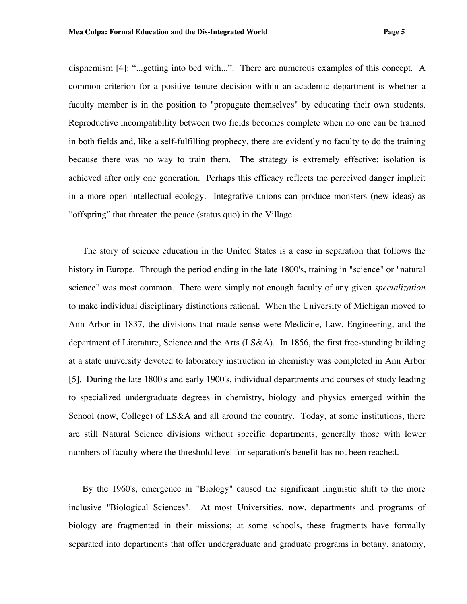disphemism [4]: "...getting into bed with...". There are numerous examples of this concept. A common criterion for a positive tenure decision within an academic department is whether a faculty member is in the position to "propagate themselves" by educating their own students. Reproductive incompatibility between two fields becomes complete when no one can be trained in both fields and, like a self-fulfilling prophecy, there are evidently no faculty to do the training because there was no way to train them. The strategy is extremely effective: isolation is achieved after only one generation. Perhaps this efficacy reflects the perceived danger implicit in a more open intellectual ecology. Integrative unions can produce monsters (new ideas) as "offspring" that threaten the peace (status quo) in the Village.

The story of science education in the United States is a case in separation that follows the history in Europe. Through the period ending in the late 1800's, training in "science" or "natural science" was most common. There were simply not enough faculty of any given *specialization* to make individual disciplinary distinctions rational. When the University of Michigan moved to Ann Arbor in 1837, the divisions that made sense were Medicine, Law, Engineering, and the department of Literature, Science and the Arts (LS&A). In 1856, the first free-standing building at a state university devoted to laboratory instruction in chemistry was completed in Ann Arbor [5]. During the late 1800's and early 1900's, individual departments and courses of study leading to specialized undergraduate degrees in chemistry, biology and physics emerged within the School (now, College) of LS&A and all around the country. Today, at some institutions, there are still Natural Science divisions without specific departments, generally those with lower numbers of faculty where the threshold level for separation's benefit has not been reached.

By the 1960's, emergence in "Biology" caused the significant linguistic shift to the more inclusive "Biological Sciences". At most Universities, now, departments and programs of biology are fragmented in their missions; at some schools, these fragments have formally separated into departments that offer undergraduate and graduate programs in botany, anatomy,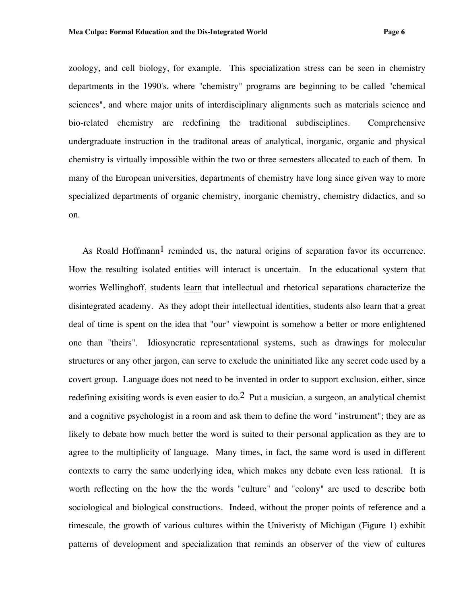zoology, and cell biology, for example. This specialization stress can be seen in chemistry departments in the 1990's, where "chemistry" programs are beginning to be called "chemical sciences", and where major units of interdisciplinary alignments such as materials science and bio-related chemistry are redefining the traditional subdisciplines. Comprehensive undergraduate instruction in the traditonal areas of analytical, inorganic, organic and physical chemistry is virtually impossible within the two or three semesters allocated to each of them. In many of the European universities, departments of chemistry have long since given way to more specialized departments of organic chemistry, inorganic chemistry, chemistry didactics, and so on.

As Roald Hoffmann<sup>1</sup> reminded us, the natural origins of separation favor its occurrence. How the resulting isolated entities will interact is uncertain. In the educational system that worries Wellinghoff, students learn that intellectual and rhetorical separations characterize the disintegrated academy. As they adopt their intellectual identities, students also learn that a great deal of time is spent on the idea that "our" viewpoint is somehow a better or more enlightened one than "theirs". Idiosyncratic representational systems, such as drawings for molecular structures or any other jargon, can serve to exclude the uninitiated like any secret code used by a covert group. Language does not need to be invented in order to support exclusion, either, since redefining exisiting words is even easier to  $\alpha$  =  $\alpha$  Put a musician, a surgeon, an analytical chemist and a cognitive psychologist in a room and ask them to define the word "instrument"; they are as likely to debate how much better the word is suited to their personal application as they are to agree to the multiplicity of language. Many times, in fact, the same word is used in different contexts to carry the same underlying idea, which makes any debate even less rational. It is worth reflecting on the how the the words "culture" and "colony" are used to describe both sociological and biological constructions. Indeed, without the proper points of reference and a timescale, the growth of various cultures within the Univeristy of Michigan (Figure 1) exhibit patterns of development and specialization that reminds an observer of the view of cultures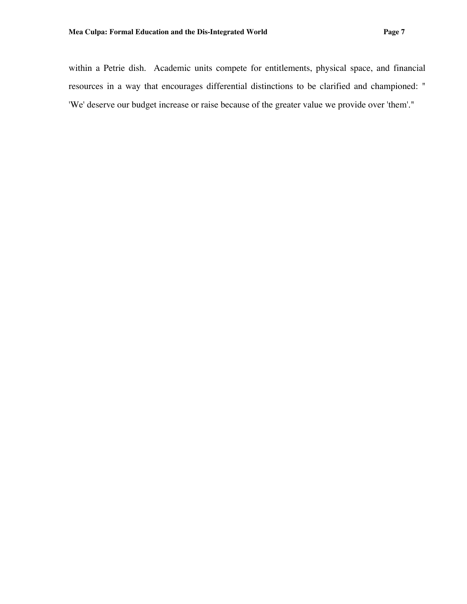within a Petrie dish. Academic units compete for entitlements, physical space, and financial resources in a way that encourages differential distinctions to be clarified and championed: " 'We' deserve our budget increase or raise because of the greater value we provide over 'them'."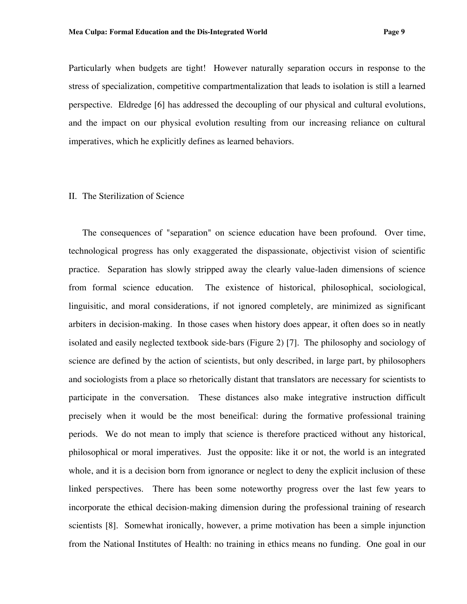Particularly when budgets are tight! However naturally separation occurs in response to the stress of specialization, competitive compartmentalization that leads to isolation is still a learned perspective. Eldredge [6] has addressed the decoupling of our physical and cultural evolutions, and the impact on our physical evolution resulting from our increasing reliance on cultural imperatives, which he explicitly defines as learned behaviors.

#### II. The Sterilization of Science

The consequences of "separation" on science education have been profound. Over time, technological progress has only exaggerated the dispassionate, objectivist vision of scientific practice. Separation has slowly stripped away the clearly value-laden dimensions of science from formal science education. The existence of historical, philosophical, sociological, linguisitic, and moral considerations, if not ignored completely, are minimized as significant arbiters in decision-making. In those cases when history does appear, it often does so in neatly isolated and easily neglected textbook side-bars (Figure 2) [7]. The philosophy and sociology of science are defined by the action of scientists, but only described, in large part, by philosophers and sociologists from a place so rhetorically distant that translators are necessary for scientists to participate in the conversation. These distances also make integrative instruction difficult precisely when it would be the most beneifical: during the formative professional training periods. We do not mean to imply that science is therefore practiced without any historical, philosophical or moral imperatives. Just the opposite: like it or not, the world is an integrated whole, and it is a decision born from ignorance or neglect to deny the explicit inclusion of these linked perspectives. There has been some noteworthy progress over the last few years to incorporate the ethical decision-making dimension during the professional training of research scientists [8]. Somewhat ironically, however, a prime motivation has been a simple injunction from the National Institutes of Health: no training in ethics means no funding. One goal in our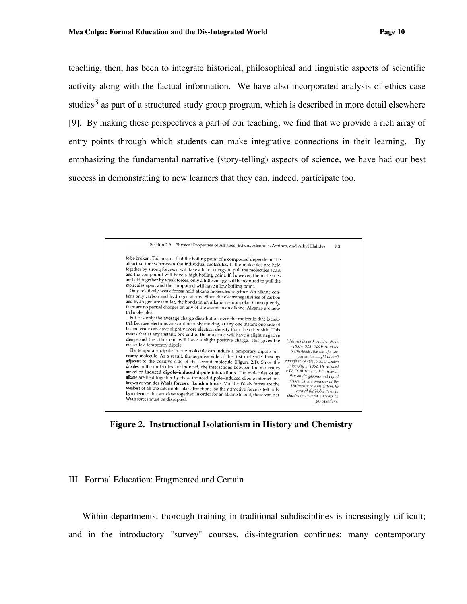teaching, then, has been to integrate historical, philosophical and linguistic aspects of scientific activity along with the factual information. We have also incorporated analysis of ethics case studies<sup>3</sup> as part of a structured study group program, which is described in more detail elsewhere [9]. By making these perspectives a part of our teaching, we find that we provide a rich array of entry points through which students can make integrative connections in their learning. By emphasizing the fundamental narrative (story-telling) aspects of science, we have had our best success in demonstrating to new learners that they can, indeed, participate too.



**Figure 2. Instructional Isolationism in History and Chemistry**

## III. Formal Education: Fragmented and Certain

Within departments, thorough training in traditional subdisciplines is increasingly difficult; and in the introductory "survey" courses, dis-integration continues: many contemporary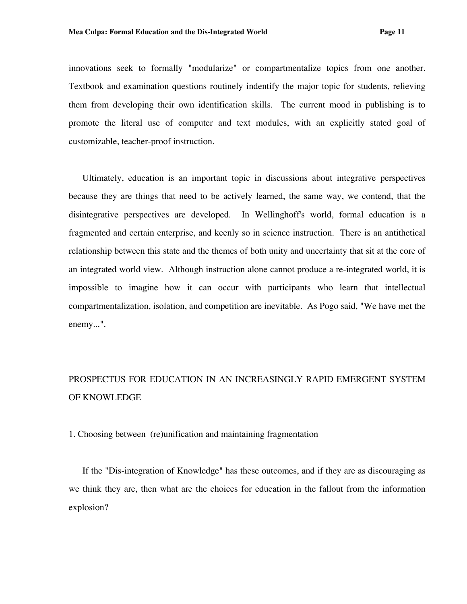innovations seek to formally "modularize" or compartmentalize topics from one another. Textbook and examination questions routinely indentify the major topic for students, relieving them from developing their own identification skills. The current mood in publishing is to promote the literal use of computer and text modules, with an explicitly stated goal of customizable, teacher-proof instruction.

Ultimately, education is an important topic in discussions about integrative perspectives because they are things that need to be actively learned, the same way, we contend, that the disintegrative perspectives are developed. In Wellinghoff's world, formal education is a fragmented and certain enterprise, and keenly so in science instruction. There is an antithetical relationship between this state and the themes of both unity and uncertainty that sit at the core of an integrated world view. Although instruction alone cannot produce a re-integrated world, it is impossible to imagine how it can occur with participants who learn that intellectual compartmentalization, isolation, and competition are inevitable. As Pogo said, "We have met the enemy...".

## PROSPECTUS FOR EDUCATION IN AN INCREASINGLY RAPID EMERGENT SYSTEM OF KNOWLEDGE

1. Choosing between (re)unification and maintaining fragmentation

If the "Dis-integration of Knowledge" has these outcomes, and if they are as discouraging as we think they are, then what are the choices for education in the fallout from the information explosion?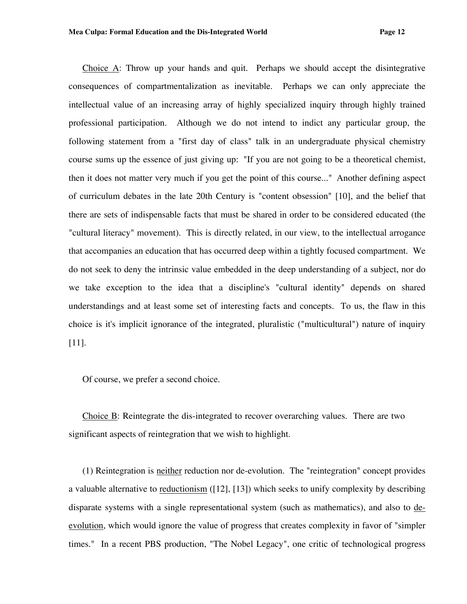Choice A: Throw up your hands and quit. Perhaps we should accept the disintegrative consequences of compartmentalization as inevitable. Perhaps we can only appreciate the intellectual value of an increasing array of highly specialized inquiry through highly trained professional participation. Although we do not intend to indict any particular group, the following statement from a "first day of class" talk in an undergraduate physical chemistry course sums up the essence of just giving up: "If you are not going to be a theoretical chemist, then it does not matter very much if you get the point of this course..." Another defining aspect of curriculum debates in the late 20th Century is "content obsession" [10], and the belief that there are sets of indispensable facts that must be shared in order to be considered educated (the "cultural literacy" movement). This is directly related, in our view, to the intellectual arrogance that accompanies an education that has occurred deep within a tightly focused compartment. We do not seek to deny the intrinsic value embedded in the deep understanding of a subject, nor do we take exception to the idea that a discipline's "cultural identity" depends on shared understandings and at least some set of interesting facts and concepts. To us, the flaw in this choice is it's implicit ignorance of the integrated, pluralistic ("multicultural") nature of inquiry [11].

Of course, we prefer a second choice.

Choice B: Reintegrate the dis-integrated to recover overarching values. There are two significant aspects of reintegration that we wish to highlight.

(1) Reintegration is neither reduction nor de-evolution. The "reintegration" concept provides a valuable alternative to reductionism ([12], [13]) which seeks to unify complexity by describing disparate systems with a single representational system (such as mathematics), and also to deevolution, which would ignore the value of progress that creates complexity in favor of "simpler times." In a recent PBS production, "The Nobel Legacy", one critic of technological progress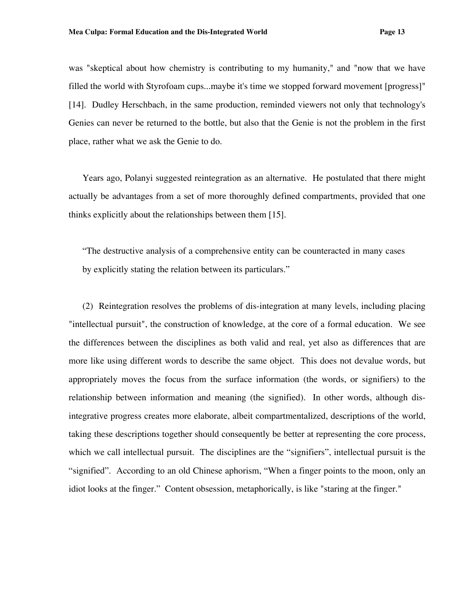was "skeptical about how chemistry is contributing to my humanity," and "now that we have filled the world with Styrofoam cups...maybe it's time we stopped forward movement [progress]" [14]. Dudley Herschbach, in the same production, reminded viewers not only that technology's Genies can never be returned to the bottle, but also that the Genie is not the problem in the first place, rather what we ask the Genie to do.

Years ago, Polanyi suggested reintegration as an alternative. He postulated that there might actually be advantages from a set of more thoroughly defined compartments, provided that one thinks explicitly about the relationships between them [15].

"The destructive analysis of a comprehensive entity can be counteracted in many cases by explicitly stating the relation between its particulars."

(2) Reintegration resolves the problems of dis-integration at many levels, including placing "intellectual pursuit", the construction of knowledge, at the core of a formal education. We see the differences between the disciplines as both valid and real, yet also as differences that are more like using different words to describe the same object. This does not devalue words, but appropriately moves the focus from the surface information (the words, or signifiers) to the relationship between information and meaning (the signified). In other words, although disintegrative progress creates more elaborate, albeit compartmentalized, descriptions of the world, taking these descriptions together should consequently be better at representing the core process, which we call intellectual pursuit. The disciplines are the "signifiers", intellectual pursuit is the "signified". According to an old Chinese aphorism, "When a finger points to the moon, only an idiot looks at the finger." Content obsession, metaphorically, is like "staring at the finger."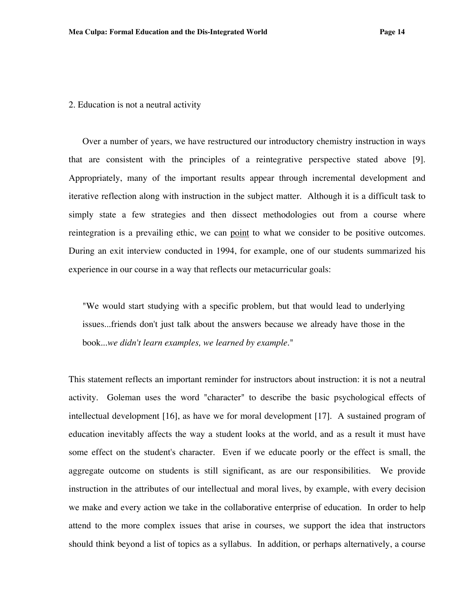#### 2. Education is not a neutral activity

Over a number of years, we have restructured our introductory chemistry instruction in ways that are consistent with the principles of a reintegrative perspective stated above [9]. Appropriately, many of the important results appear through incremental development and iterative reflection along with instruction in the subject matter. Although it is a difficult task to simply state a few strategies and then dissect methodologies out from a course where reintegration is a prevailing ethic, we can point to what we consider to be positive outcomes. During an exit interview conducted in 1994, for example, one of our students summarized his experience in our course in a way that reflects our metacurricular goals:

"We would start studying with a specific problem, but that would lead to underlying issues...friends don't just talk about the answers because we already have those in the book...*we didn't learn examples, we learned by example.*"

This statement reflects an important reminder for instructors about instruction: it is not a neutral activity. Goleman uses the word "character" to describe the basic psychological effects of intellectual development [16], as have we for moral development [17]. A sustained program of education inevitably affects the way a student looks at the world, and as a result it must have some effect on the student's character. Even if we educate poorly or the effect is small, the aggregate outcome on students is still significant, as are our responsibilities. We provide instruction in the attributes of our intellectual and moral lives, by example, with every decision we make and every action we take in the collaborative enterprise of education. In order to help attend to the more complex issues that arise in courses, we support the idea that instructors should think beyond a list of topics as a syllabus. In addition, or perhaps alternatively, a course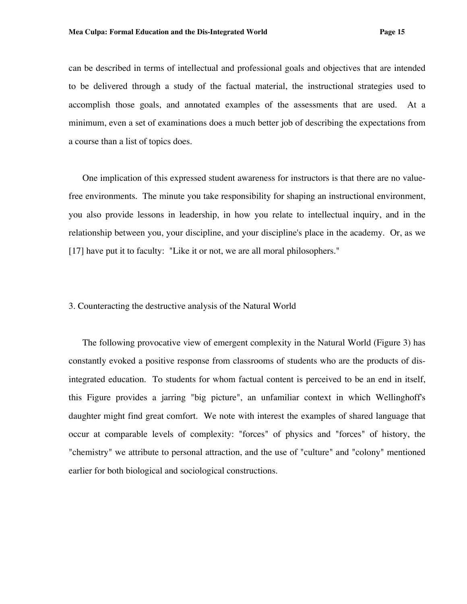can be described in terms of intellectual and professional goals and objectives that are intended to be delivered through a study of the factual material, the instructional strategies used to accomplish those goals, and annotated examples of the assessments that are used. At a minimum, even a set of examinations does a much better job of describing the expectations from a course than a list of topics does.

One implication of this expressed student awareness for instructors is that there are no valuefree environments. The minute you take responsibility for shaping an instructional environment, you also provide lessons in leadership, in how you relate to intellectual inquiry, and in the relationship between you, your discipline, and your discipline's place in the academy. Or, as we [17] have put it to faculty: "Like it or not, we are all moral philosophers."

## 3. Counteracting the destructive analysis of the Natural World

The following provocative view of emergent complexity in the Natural World (Figure 3) has constantly evoked a positive response from classrooms of students who are the products of disintegrated education. To students for whom factual content is perceived to be an end in itself, this Figure provides a jarring "big picture", an unfamiliar context in which Wellinghoff's daughter might find great comfort. We note with interest the examples of shared language that occur at comparable levels of complexity: "forces" of physics and "forces" of history, the "chemistry" we attribute to personal attraction, and the use of "culture" and "colony" mentioned earlier for both biological and sociological constructions.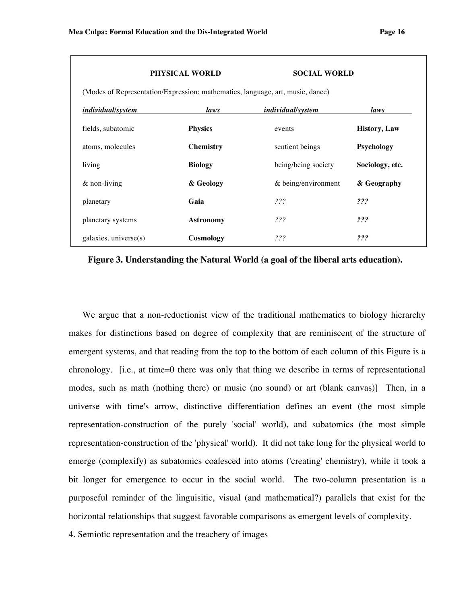## **PHYSICAL WORLD SOCIAL WORLD**

| <i>individual/system</i> | laws             | <i>individual/system</i> | laws                 |
|--------------------------|------------------|--------------------------|----------------------|
| fields, subatomic        | <b>Physics</b>   | events                   | <b>History</b> , Law |
| atoms, molecules         | <b>Chemistry</b> | sentient beings          | Psychology           |
| living                   | <b>Biology</b>   | being/being society      | Sociology, etc.      |
| $&$ non-living           | & Geology        | $&$ being/environment    | & Geography          |
| planetary                | Gaia             | 222                      | ???                  |
| planetary systems        | <b>Astronomy</b> | 222                      | ???                  |
| galaxies, universe(s)    | Cosmology        | ???                      | ???                  |

**Figure 3. Understanding the Natural World (a goal of the liberal arts education).**

We argue that a non-reductionist view of the traditional mathematics to biology hierarchy makes for distinctions based on degree of complexity that are reminiscent of the structure of emergent systems, and that reading from the top to the bottom of each column of this Figure is a chronology. [i.e., at time=0 there was only that thing we describe in terms of representational modes, such as math (nothing there) or music (no sound) or art (blank canvas)] Then, in a universe with time's arrow, distinctive differentiation defines an event (the most simple representation-construction of the purely 'social' world), and subatomics (the most simple representation-construction of the 'physical' world). It did not take long for the physical world to emerge (complexify) as subatomics coalesced into atoms ('creating' chemistry), while it took a bit longer for emergence to occur in the social world. The two-column presentation is a purposeful reminder of the linguisitic, visual (and mathematical?) parallels that exist for the horizontal relationships that suggest favorable comparisons as emergent levels of complexity.

4. Semiotic representation and the treachery of images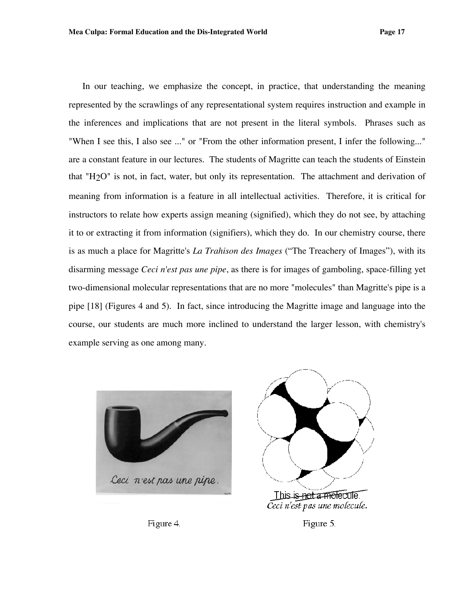In our teaching, we emphasize the concept, in practice, that understanding the meaning represented by the scrawlings of any representational system requires instruction and example in the inferences and implications that are not present in the literal symbols. Phrases such as "When I see this, I also see ..." or "From the other information present, I infer the following..." are a constant feature in our lectures. The students of Magritte can teach the students of Einstein that "H2O" is not, in fact, water, but only its representation. The attachment and derivation of meaning from information is a feature in all intellectual activities. Therefore, it is critical for instructors to relate how experts assign meaning (signified), which they do not see, by attaching it to or extracting it from information (signifiers), which they do. In our chemistry course, there is as much a place for Magritte's *La Trahison des Images* ("The Treachery of Images"), with its disarming message *Ceci n'est pas une pipe*, as there is for images of gamboling, space-filling yet two-dimensional molecular representations that are no more "molecules" than Magritte's pipe is a pipe [18] (Figures 4 and 5). In fact, since introducing the Magritte image and language into the course, our students are much more inclined to understand the larger lesson, with chemistry's example serving as one among many.





Figure 4.

Figure 5.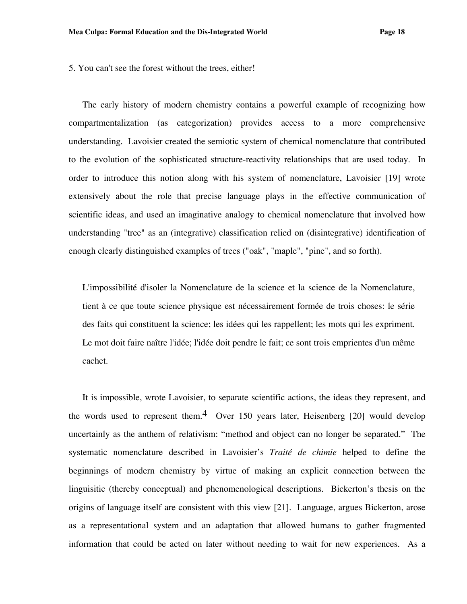5. You can't see the forest without the trees, either!

The early history of modern chemistry contains a powerful example of recognizing how compartmentalization (as categorization) provides access to a more comprehensive understanding. Lavoisier created the semiotic system of chemical nomenclature that contributed to the evolution of the sophisticated structure-reactivity relationships that are used today. In order to introduce this notion along with his system of nomenclature, Lavoisier [19] wrote extensively about the role that precise language plays in the effective communication of scientific ideas, and used an imaginative analogy to chemical nomenclature that involved how understanding "tree" as an (integrative) classification relied on (disintegrative) identification of enough clearly distinguished examples of trees ("oak", "maple", "pine", and so forth).

L'impossibilité d'isoler la Nomenclature de la science et la science de la Nomenclature, tient à ce que toute science physique est nécessairement formée de trois choses: le série des faits qui constituent la science; les idées qui les rappellent; les mots qui les expriment. Le mot doit faire naître l'idée; l'idée doit pendre le fait; ce sont trois emprientes d'un même cachet.

It is impossible, wrote Lavoisier, to separate scientific actions, the ideas they represent, and the words used to represent them.<sup>4</sup> Over 150 years later, Heisenberg [20] would develop uncertainly as the anthem of relativism: "method and object can no longer be separated." The systematic nomenclature described in Lavoisier's *Traité de chimie* helped to define the beginnings of modern chemistry by virtue of making an explicit connection between the linguisitic (thereby conceptual) and phenomenological descriptions. Bickerton's thesis on the origins of language itself are consistent with this view [21]. Language, argues Bickerton, arose as a representational system and an adaptation that allowed humans to gather fragmented information that could be acted on later without needing to wait for new experiences. As a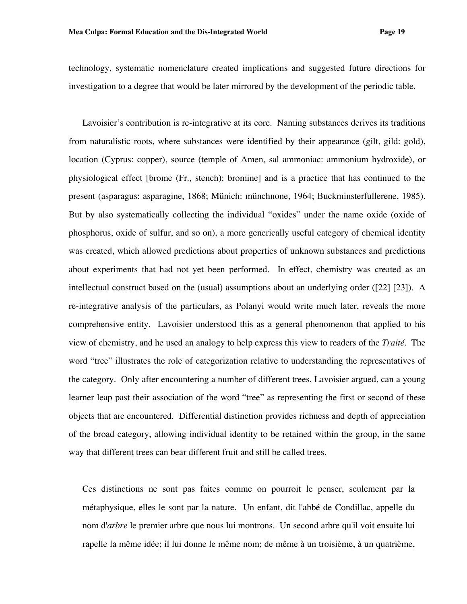technology, systematic nomenclature created implications and suggested future directions for investigation to a degree that would be later mirrored by the development of the periodic table.

Lavoisier's contribution is re-integrative at its core. Naming substances derives its traditions from naturalistic roots, where substances were identified by their appearance (gilt, gild: gold), location (Cyprus: copper), source (temple of Amen, sal ammoniac: ammonium hydroxide), or physiological effect [brome (Fr., stench): bromine] and is a practice that has continued to the present (asparagus: asparagine, 1868; Münich: münchnone, 1964; Buckminsterfullerene, 1985). But by also systematically collecting the individual "oxides" under the name oxide (oxide of phosphorus, oxide of sulfur, and so on), a more generically useful category of chemical identity was created, which allowed predictions about properties of unknown substances and predictions about experiments that had not yet been performed. In effect, chemistry was created as an intellectual construct based on the (usual) assumptions about an underlying order ([22] [23]). A re-integrative analysis of the particulars, as Polanyi would write much later, reveals the more comprehensive entity. Lavoisier understood this as a general phenomenon that applied to his view of chemistry, and he used an analogy to help express this view to readers of the *Traité*. The word "tree" illustrates the role of categorization relative to understanding the representatives of the category. Only after encountering a number of different trees, Lavoisier argued, can a young learner leap past their association of the word "tree" as representing the first or second of these objects that are encountered. Differential distinction provides richness and depth of appreciation of the broad category, allowing individual identity to be retained within the group, in the same way that different trees can bear different fruit and still be called trees.

Ces distinctions ne sont pas faites comme on pourroit le penser, seulement par la métaphysique, elles le sont par la nature. Un enfant, dit l'abbé de Condillac, appelle du nom d'*arbre* le premier arbre que nous lui montrons. Un second arbre qu'il voit ensuite lui rapelle la même idée; il lui donne le même nom; de même à un troisième, à un quatrième,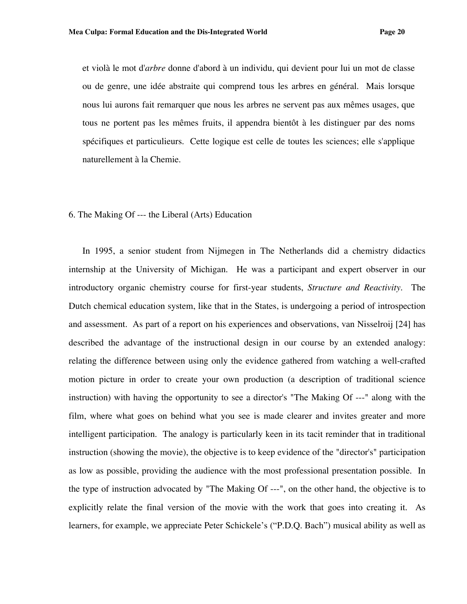et violà le mot d'*arbre* donne d'abord à un individu, qui devient pour lui un mot de classe ou de genre, une idée abstraite qui comprend tous les arbres en général. Mais lorsque nous lui aurons fait remarquer que nous les arbres ne servent pas aux mêmes usages, que tous ne portent pas les mêmes fruits, il appendra bientôt à les distinguer par des noms spécifiques et particulieurs. Cette logique est celle de toutes les sciences; elle s'applique naturellement à la Chemie.

## 6. The Making Of --- the Liberal (Arts) Education

In 1995, a senior student from Nijmegen in The Netherlands did a chemistry didactics internship at the University of Michigan. He was a participant and expert observer in our introductory organic chemistry course for first-year students, *Structure and Reactivity*. The Dutch chemical education system, like that in the States, is undergoing a period of introspection and assessment. As part of a report on his experiences and observations, van Nisselroij [24] has described the advantage of the instructional design in our course by an extended analogy: relating the difference between using only the evidence gathered from watching a well-crafted motion picture in order to create your own production (a description of traditional science instruction) with having the opportunity to see a director's "The Making Of ---" along with the film, where what goes on behind what you see is made clearer and invites greater and more intelligent participation. The analogy is particularly keen in its tacit reminder that in traditional instruction (showing the movie), the objective is to keep evidence of the "director's" participation as low as possible, providing the audience with the most professional presentation possible. In the type of instruction advocated by "The Making Of ---", on the other hand, the objective is to explicitly relate the final version of the movie with the work that goes into creating it. As learners, for example, we appreciate Peter Schickele's ("P.D.Q. Bach") musical ability as well as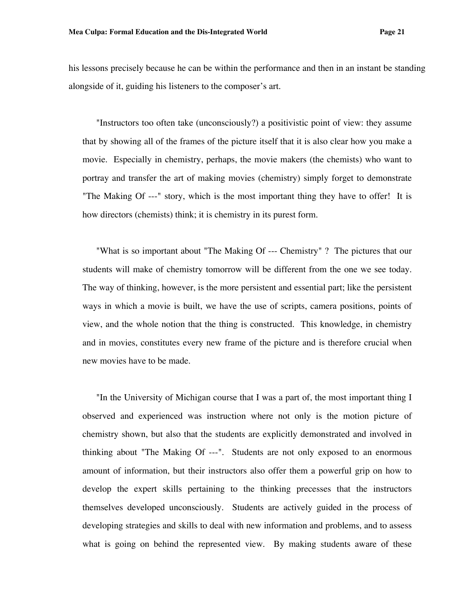his lessons precisely because he can be within the performance and then in an instant be standing alongside of it, guiding his listeners to the composer's art.

"Instructors too often take (unconsciously?) a positivistic point of view: they assume that by showing all of the frames of the picture itself that it is also clear how you make a movie. Especially in chemistry, perhaps, the movie makers (the chemists) who want to portray and transfer the art of making movies (chemistry) simply forget to demonstrate "The Making Of ---" story, which is the most important thing they have to offer! It is how directors (chemists) think; it is chemistry in its purest form.

"What is so important about "The Making Of --- Chemistry" ? The pictures that our students will make of chemistry tomorrow will be different from the one we see today. The way of thinking, however, is the more persistent and essential part; like the persistent ways in which a movie is built, we have the use of scripts, camera positions, points of view, and the whole notion that the thing is constructed. This knowledge, in chemistry and in movies, constitutes every new frame of the picture and is therefore crucial when new movies have to be made.

"In the University of Michigan course that I was a part of, the most important thing I observed and experienced was instruction where not only is the motion picture of chemistry shown, but also that the students are explicitly demonstrated and involved in thinking about "The Making Of ---". Students are not only exposed to an enormous amount of information, but their instructors also offer them a powerful grip on how to develop the expert skills pertaining to the thinking precesses that the instructors themselves developed unconsciously. Students are actively guided in the process of developing strategies and skills to deal with new information and problems, and to assess what is going on behind the represented view. By making students aware of these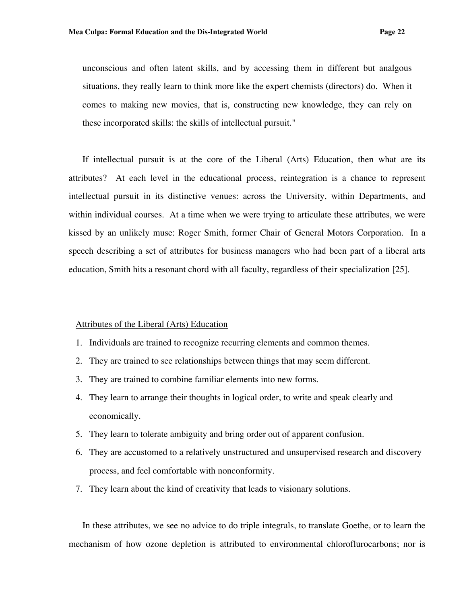unconscious and often latent skills, and by accessing them in different but analgous situations, they really learn to think more like the expert chemists (directors) do. When it comes to making new movies, that is, constructing new knowledge, they can rely on these incorporated skills: the skills of intellectual pursuit."

If intellectual pursuit is at the core of the Liberal (Arts) Education, then what are its attributes? At each level in the educational process, reintegration is a chance to represent intellectual pursuit in its distinctive venues: across the University, within Departments, and within individual courses. At a time when we were trying to articulate these attributes, we were kissed by an unlikely muse: Roger Smith, former Chair of General Motors Corporation. In a speech describing a set of attributes for business managers who had been part of a liberal arts education, Smith hits a resonant chord with all faculty, regardless of their specialization [25].

#### Attributes of the Liberal (Arts) Education

- 1. Individuals are trained to recognize recurring elements and common themes.
- 2. They are trained to see relationships between things that may seem different.
- 3. They are trained to combine familiar elements into new forms.
- 4. They learn to arrange their thoughts in logical order, to write and speak clearly and economically.
- 5. They learn to tolerate ambiguity and bring order out of apparent confusion.
- 6. They are accustomed to a relatively unstructured and unsupervised research and discovery process, and feel comfortable with nonconformity.
- 7. They learn about the kind of creativity that leads to visionary solutions.

In these attributes, we see no advice to do triple integrals, to translate Goethe, or to learn the mechanism of how ozone depletion is attributed to environmental chloroflurocarbons; nor is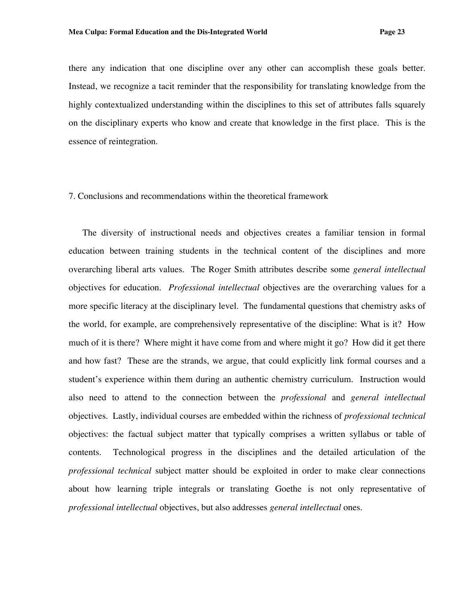there any indication that one discipline over any other can accomplish these goals better. Instead, we recognize a tacit reminder that the responsibility for translating knowledge from the highly contextualized understanding within the disciplines to this set of attributes falls squarely on the disciplinary experts who know and create that knowledge in the first place. This is the essence of reintegration.

## 7. Conclusions and recommendations within the theoretical framework

The diversity of instructional needs and objectives creates a familiar tension in formal education between training students in the technical content of the disciplines and more overarching liberal arts values. The Roger Smith attributes describe some *general intellectual* objectives for education. *Professional intellectual* objectives are the overarching values for a more specific literacy at the disciplinary level. The fundamental questions that chemistry asks of the world, for example, are comprehensively representative of the discipline: What is it? How much of it is there? Where might it have come from and where might it go? How did it get there and how fast? These are the strands, we argue, that could explicitly link formal courses and a student's experience within them during an authentic chemistry curriculum. Instruction would also need to attend to the connection between the *professional* and *general intellectual*  objectives. Lastly, individual courses are embedded within the richness of *professional technical* objectives: the factual subject matter that typically comprises a written syllabus or table of contents. Technological progress in the disciplines and the detailed articulation of the *professional technical* subject matter should be exploited in order to make clear connections about how learning triple integrals or translating Goethe is not only representative of *professional intellectual* objectives, but also addresses *general intellectual* ones.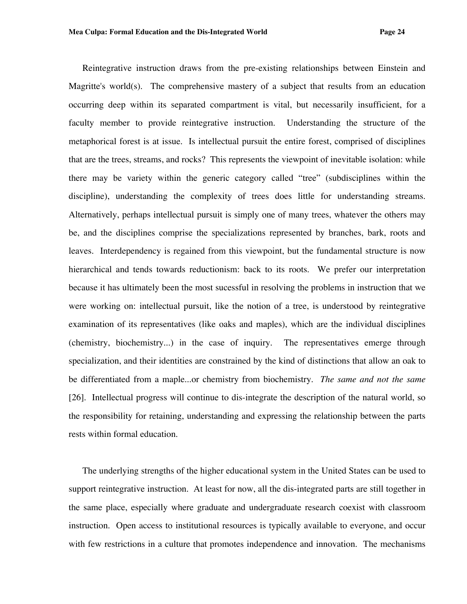Reintegrative instruction draws from the pre-existing relationships between Einstein and Magritte's world(s). The comprehensive mastery of a subject that results from an education occurring deep within its separated compartment is vital, but necessarily insufficient, for a faculty member to provide reintegrative instruction. Understanding the structure of the metaphorical forest is at issue. Is intellectual pursuit the entire forest, comprised of disciplines that are the trees, streams, and rocks? This represents the viewpoint of inevitable isolation: while there may be variety within the generic category called "tree" (subdisciplines within the discipline), understanding the complexity of trees does little for understanding streams. Alternatively, perhaps intellectual pursuit is simply one of many trees, whatever the others may be, and the disciplines comprise the specializations represented by branches, bark, roots and leaves. Interdependency is regained from this viewpoint, but the fundamental structure is now hierarchical and tends towards reductionism: back to its roots. We prefer our interpretation because it has ultimately been the most sucessful in resolving the problems in instruction that we were working on: intellectual pursuit, like the notion of a tree, is understood by reintegrative examination of its representatives (like oaks and maples), which are the individual disciplines (chemistry, biochemistry...) in the case of inquiry. The representatives emerge through specialization, and their identities are constrained by the kind of distinctions that allow an oak to be differentiated from a maple...or chemistry from biochemistry. *The same and not the same* [26]. Intellectual progress will continue to dis-integrate the description of the natural world, so the responsibility for retaining, understanding and expressing the relationship between the parts rests within formal education.

The underlying strengths of the higher educational system in the United States can be used to support reintegrative instruction. At least for now, all the dis-integrated parts are still together in the same place, especially where graduate and undergraduate research coexist with classroom instruction. Open access to institutional resources is typically available to everyone, and occur with few restrictions in a culture that promotes independence and innovation. The mechanisms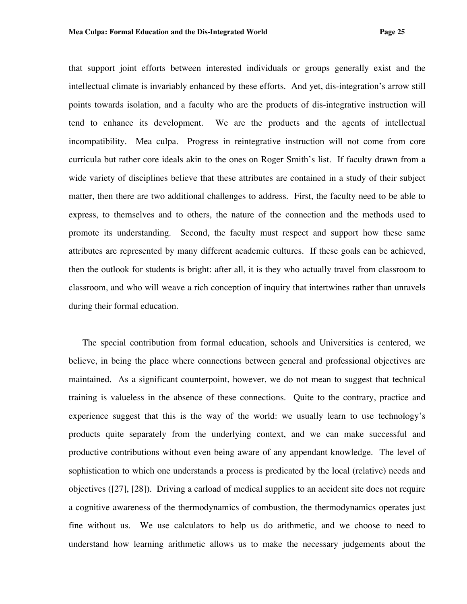that support joint efforts between interested individuals or groups generally exist and the intellectual climate is invariably enhanced by these efforts. And yet, dis-integration's arrow still points towards isolation, and a faculty who are the products of dis-integrative instruction will tend to enhance its development. We are the products and the agents of intellectual incompatibility. Mea culpa. Progress in reintegrative instruction will not come from core curricula but rather core ideals akin to the ones on Roger Smith's list. If faculty drawn from a wide variety of disciplines believe that these attributes are contained in a study of their subject matter, then there are two additional challenges to address. First, the faculty need to be able to express, to themselves and to others, the nature of the connection and the methods used to promote its understanding. Second, the faculty must respect and support how these same attributes are represented by many different academic cultures. If these goals can be achieved, then the outlook for students is bright: after all, it is they who actually travel from classroom to classroom, and who will weave a rich conception of inquiry that intertwines rather than unravels during their formal education.

The special contribution from formal education, schools and Universities is centered, we believe, in being the place where connections between general and professional objectives are maintained. As a significant counterpoint, however, we do not mean to suggest that technical training is valueless in the absence of these connections. Quite to the contrary, practice and experience suggest that this is the way of the world: we usually learn to use technology's products quite separately from the underlying context, and we can make successful and productive contributions without even being aware of any appendant knowledge. The level of sophistication to which one understands a process is predicated by the local (relative) needs and objectives ([27], [28]). Driving a carload of medical supplies to an accident site does not require a cognitive awareness of the thermodynamics of combustion, the thermodynamics operates just fine without us. We use calculators to help us do arithmetic, and we choose to need to understand how learning arithmetic allows us to make the necessary judgements about the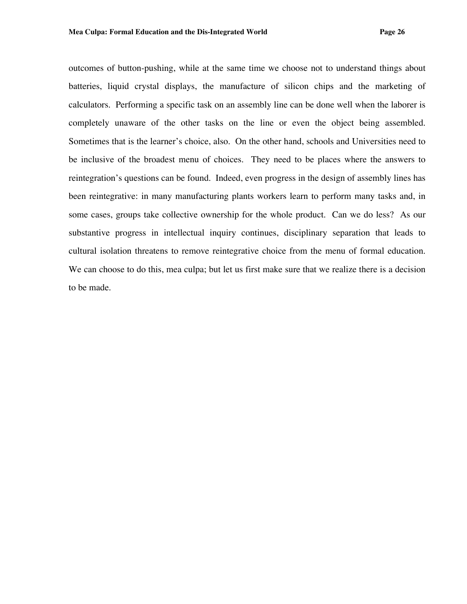outcomes of button-pushing, while at the same time we choose not to understand things about batteries, liquid crystal displays, the manufacture of silicon chips and the marketing of calculators. Performing a specific task on an assembly line can be done well when the laborer is completely unaware of the other tasks on the line or even the object being assembled. Sometimes that is the learner's choice, also. On the other hand, schools and Universities need to be inclusive of the broadest menu of choices. They need to be places where the answers to reintegration's questions can be found. Indeed, even progress in the design of assembly lines has been reintegrative: in many manufacturing plants workers learn to perform many tasks and, in some cases, groups take collective ownership for the whole product. Can we do less? As our substantive progress in intellectual inquiry continues, disciplinary separation that leads to cultural isolation threatens to remove reintegrative choice from the menu of formal education. We can choose to do this, mea culpa; but let us first make sure that we realize there is a decision to be made.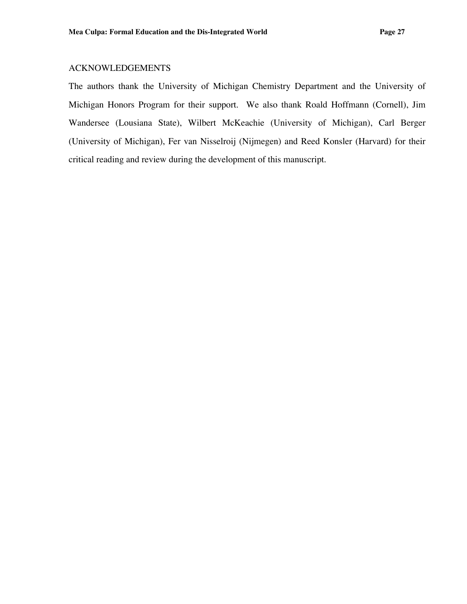## ACKNOWLEDGEMENTS

The authors thank the University of Michigan Chemistry Department and the University of Michigan Honors Program for their support. We also thank Roald Hoffmann (Cornell), Jim Wandersee (Lousiana State), Wilbert McKeachie (University of Michigan), Carl Berger (University of Michigan), Fer van Nisselroij (Nijmegen) and Reed Konsler (Harvard) for their critical reading and review during the development of this manuscript.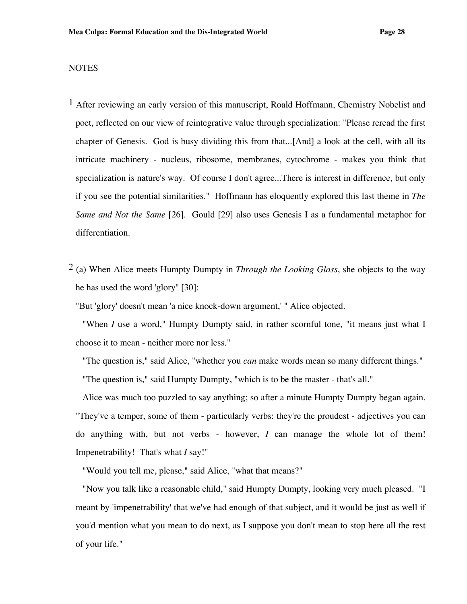## **NOTES**

- 1 After reviewing an early version of this manuscript, Roald Hoffmann, Chemistry Nobelist and poet, reflected on our view of reintegrative value through specialization: "Please reread the first chapter of Genesis. God is busy dividing this from that...[And] a look at the cell, with all its intricate machinery - nucleus, ribosome, membranes, cytochrome - makes you think that specialization is nature's way. Of course I don't agree...There is interest in difference, but only if you see the potential similarities." Hoffmann has eloquently explored this last theme in *The Same and Not the Same* [26]. Gould [29] also uses Genesis I as a fundamental metaphor for differentiation.
- 2 (a) When Alice meets Humpty Dumpty in *Through the Looking Glass*, she objects to the way he has used the word 'glory'' [30]:

"But 'glory' doesn't mean 'a nice knock-down argument,' " Alice objected.

"When *I* use a word," Humpty Dumpty said, in rather scornful tone, "it means just what I choose it to mean - neither more nor less."

"The question is," said Alice, "whether you *can* make words mean so many different things." "The question is," said Humpty Dumpty, "which is to be the master - that's all."

Alice was much too puzzled to say anything; so after a minute Humpty Dumpty began again. "They've a temper, some of them - particularly verbs: they're the proudest - adjectives you can do anything with, but not verbs - however, *I* can manage the whole lot of them! Impenetrability! That's what *I* say!"

"Would you tell me, please," said Alice, "what that means?"

"Now you talk like a reasonable child," said Humpty Dumpty, looking very much pleased. "I meant by 'impenetrability' that we've had enough of that subject, and it would be just as well if you'd mention what you mean to do next, as I suppose you don't mean to stop here all the rest of your life."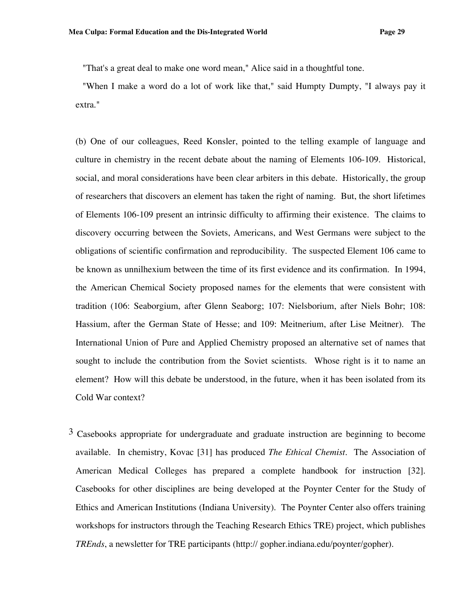"That's a great deal to make one word mean," Alice said in a thoughtful tone.

"When I make a word do a lot of work like that," said Humpty Dumpty, "I always pay it extra."

(b) One of our colleagues, Reed Konsler, pointed to the telling example of language and culture in chemistry in the recent debate about the naming of Elements 106-109. Historical, social, and moral considerations have been clear arbiters in this debate. Historically, the group of researchers that discovers an element has taken the right of naming. But, the short lifetimes of Elements 106-109 present an intrinsic difficulty to affirming their existence. The claims to discovery occurring between the Soviets, Americans, and West Germans were subject to the obligations of scientific confirmation and reproducibility. The suspected Element 106 came to be known as unnilhexium between the time of its first evidence and its confirmation. In 1994, the American Chemical Society proposed names for the elements that were consistent with tradition (106: Seaborgium, after Glenn Seaborg; 107: Nielsborium, after Niels Bohr; 108: Hassium, after the German State of Hesse; and 109: Meitnerium, after Lise Meitner). The International Union of Pure and Applied Chemistry proposed an alternative set of names that sought to include the contribution from the Soviet scientists. Whose right is it to name an element? How will this debate be understood, in the future, when it has been isolated from its Cold War context?

<sup>3</sup> Casebooks appropriate for undergraduate and graduate instruction are beginning to become available. In chemistry, Kovac [31] has produced *The Ethical Chemist*. The Association of American Medical Colleges has prepared a complete handbook for instruction [32]. Casebooks for other disciplines are being developed at the Poynter Center for the Study of Ethics and American Institutions (Indiana University). The Poynter Center also offers training workshops for instructors through the Teaching Research Ethics TRE) project, which publishes *TREnds*, a newsletter for TRE participants (http:// gopher.indiana.edu/poynter/gopher).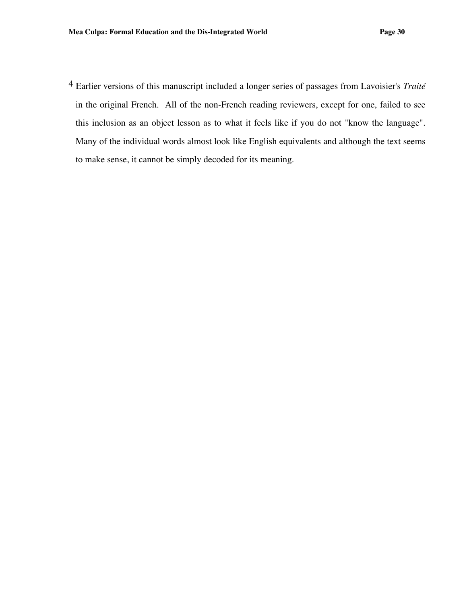4 Earlier versions of this manuscript included a longer series of passages from Lavoisier's *Traité* in the original French. All of the non-French reading reviewers, except for one, failed to see this inclusion as an object lesson as to what it feels like if you do not "know the language". Many of the individual words almost look like English equivalents and although the text seems to make sense, it cannot be simply decoded for its meaning.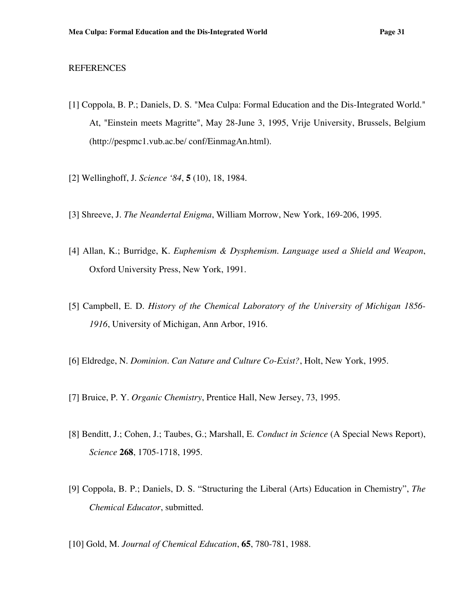## REFERENCES

- [1] Coppola, B. P.; Daniels, D. S. "Mea Culpa: Formal Education and the Dis-Integrated World." At, "Einstein meets Magritte", May 28-June 3, 1995, Vrije University, Brussels, Belgium (http://pespmc1.vub.ac.be/ conf/EinmagAn.html).
- [2] Wellinghoff, J. *Science '84*, **5** (10), 18, 1984.
- [3] Shreeve, J. *The Neandertal Enigma*, William Morrow, New York, 169-206, 1995.
- [4] Allan, K.; Burridge, K. *Euphemism & Dysphemism. Language used a Shield and Weapon*, Oxford University Press, New York, 1991.
- [5] Campbell, E. D. *History of the Chemical Laboratory of the University of Michigan 1856- 1916*, University of Michigan, Ann Arbor, 1916.
- [6] Eldredge, N. *Dominion. Can Nature and Culture Co-Exist?*, Holt, New York, 1995.
- [7] Bruice, P. Y. *Organic Chemistry*, Prentice Hall, New Jersey, 73, 1995.
- [8] Benditt, J.; Cohen, J.; Taubes, G.; Marshall, E. *Conduct in Science* (A Special News Report), *Science* **268**, 1705-1718, 1995.
- [9] Coppola, B. P.; Daniels, D. S. "Structuring the Liberal (Arts) Education in Chemistry", *The Chemical Educator*, submitted.
- [10] Gold, M. *Journal of Chemical Education*, **65**, 780-781, 1988.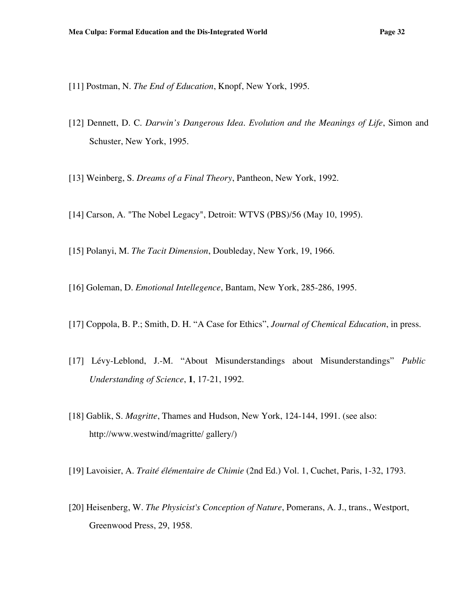- [11] Postman, N. *The End of Education*, Knopf, New York, 1995.
- [12] Dennett, D. C. *Darwin's Dangerous Idea. Evolution and the Meanings of Life*, Simon and Schuster, New York, 1995.
- [13] Weinberg, S. *Dreams of a Final Theory*, Pantheon, New York, 1992.
- [14] Carson, A. "The Nobel Legacy", Detroit: WTVS (PBS)/56 (May 10, 1995).
- [15] Polanyi, M. *The Tacit Dimension*, Doubleday, New York, 19, 1966.
- [16] Goleman, D. *Emotional Intellegence*, Bantam, New York, 285-286, 1995.
- [17] Coppola, B. P.; Smith, D. H. "A Case for Ethics", *Journal of Chemical Education*, in press.
- [17] Lévy-Leblond, J.-M. "About Misunderstandings about Misunderstandings" *Public Understanding of Science*, **1**, 17-21, 1992.
- [18] Gablik, S. *Magritte*, Thames and Hudson, New York, 124-144, 1991. (see also: http://www.westwind/magritte/ gallery/)
- [19] Lavoisier, A. *Traité élémentaire de Chimie* (2nd Ed.) Vol. 1, Cuchet, Paris, 1-32, 1793.
- [20] Heisenberg, W. *The Physicist's Conception of Nature*, Pomerans, A. J., trans., Westport, Greenwood Press, 29, 1958.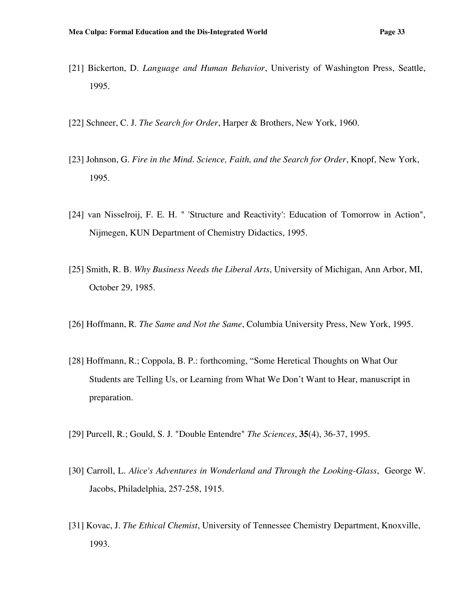- [21] Bickerton, D. *Language and Human Behavior*, Univeristy of Washington Press, Seattle, 1995.
- [22] Schneer, C. J. *The Search for Order*, Harper & Brothers, New York, 1960.
- [23] Johnson, G. *Fire in the Mind. Science, Faith, and the Search for Order*, Knopf, New York, 1995.
- [24] van Nisselroij, F. E. H. " 'Structure and Reactivity': Education of Tomorrow in Action", Nijmegen, KUN Department of Chemistry Didactics, 1995.
- [25] Smith, R. B. *Why Business Needs the Liberal Arts*, University of Michigan, Ann Arbor, MI, October 29, 1985.
- [26] Hoffmann, R. *The Same and Not the Same*, Columbia University Press, New York, 1995.
- [28] Hoffmann, R.; Coppola, B. P.: forthcoming, "Some Heretical Thoughts on What Our Students are Telling Us, or Learning from What We Don't Want to Hear, manuscript in preparation.
- [29] Purcell, R.; Gould, S. J. "Double Entendre" *The Sciences*, **35**(4), 36-37, 1995.
- [30] Carroll, L. *Alice's Adventures in Wonderland and Through the Looking-Glass*, George W. Jacobs, Philadelphia, 257-258, 1915.
- [31] Kovac, J. *The Ethical Chemist*, University of Tennessee Chemistry Department, Knoxville, 1993.